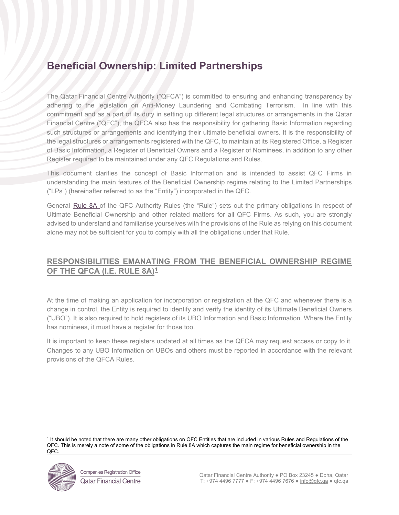# **Beneficial Ownership: Limited Partnerships**

The Qatar Financial Centre Authority ("QFCA") is committed to ensuring and enhancing transparency by adhering to the legislation on Anti-Money Laundering and Combating Terrorism. In line with this commitment and as a part of its duty in setting up different legal structures or arrangements in the Qatar Financial Centre ("QFC"), the QFCA also has the responsibility for gathering Basic Information regarding such structures or arrangements and identifying their ultimate beneficial owners. It is the responsibility of the legal structures or arrangements registered with the QFC, to maintain at its Registered Office, a Register of Basic Information, a Register of Beneficial Owners and a Register of Nominees, in addition to any other Register required to be maintained under any QFC Regulations and Rules.

This document clarifies the concept of Basic Information and is intended to assist QFC Firms in understanding the main features of the Beneficial Ownership regime relating to the Limited Partnerships ("LPs") (hereinafter referred to as the "Entity") incorporated in the QFC.

General [Rule 8A](https://qfcra-en.thomsonreuters.com/rulebook/qfca-rules-0) of the QFC Authority Rules (the "Rule") sets out the primary obligations in respect of Ultimate Beneficial Ownership and other related matters for all QFC Firms. As such, you are strongly advised to understand and familiarise yourselves with the provisions of the Rule as relying on this document alone may not be sufficient for you to comply with all the obligations under that Rule.

# **RESPONSIBILITIES EMANATING FROM THE BENEFICIAL OWNERSHIP REGIME OF THE QFCA (I.E. RULE 8A)[1](#page-0-0)**

At the time of making an application for incorporation or registration at the QFC and whenever there is a change in control, the Entity is required to identify and verify the identity of its Ultimate Beneficial Owners ("UBO"). It is also required to hold registers of its UBO Information and Basic Information. Where the Entity has nominees, it must have a register for those too.

It is important to keep these registers updated at all times as the QFCA may request access or copy to it. Changes to any UBO Information on UBOs and others must be reported in accordance with the relevant provisions of the QFCA Rules.

<span id="page-0-0"></span><sup>&</sup>lt;sup>1</sup> It should be noted that there are many other obligations on QFC Entities that are included in various Rules and Regulations of the QFC. This is merely a note of some of the obligations in Rule 8A which captures the main regime for beneficial ownership in the QFC.

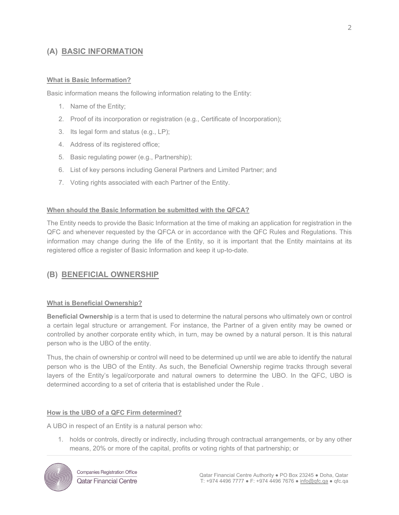# **(A) BASIC INFORMATION**

### **What is Basic Information?**

Basic information means the following information relating to the Entity:

- 1. Name of the Entity;
- 2. Proof of its incorporation or registration (e.g., Certificate of Incorporation);
- 3. Its legal form and status (e.g., LP);
- 4. Address of its registered office;
- 5. Basic regulating power (e.g., Partnership);
- 6. List of key persons including General Partners and Limited Partner; and
- 7. Voting rights associated with each Partner of the Entity.

#### **When should the Basic Information be submitted with the QFCA?**

The Entity needs to provide the Basic Information at the time of making an application for registration in the QFC and whenever requested by the QFCA or in accordance with the QFC Rules and Regulations. This information may change during the life of the Entity, so it is important that the Entity maintains at its registered office a register of Basic Information and keep it up-to-date.

# **(B) BENEFICIAL OWNERSHIP**

#### **What is Beneficial Ownership?**

**Beneficial Ownership** is a term that is used to determine the natural persons who ultimately own or control a certain legal structure or arrangement. For instance, the Partner of a given entity may be owned or controlled by another corporate entity which, in turn, may be owned by a natural person. It is this natural person who is the UBO of the entity.

Thus, the chain of ownership or control will need to be determined up until we are able to identify the natural person who is the UBO of the Entity. As such, the Beneficial Ownership regime tracks through several layers of the Entity's legal/corporate and natural owners to determine the UBO. In the QFC, UBO is determined according to a set of criteria that is established under the [Rule](https://qfcra-en.thomsonreuters.com/rulebook/qfca-rules-0) .

#### **How is the UBO of a QFC Firm determined?**

A UBO in respect of an Entity is a natural person who:

1. holds or controls, directly or indirectly, including through contractual arrangements, or by any other means, 20% or more of the capital, profits or voting rights of that partnership; or

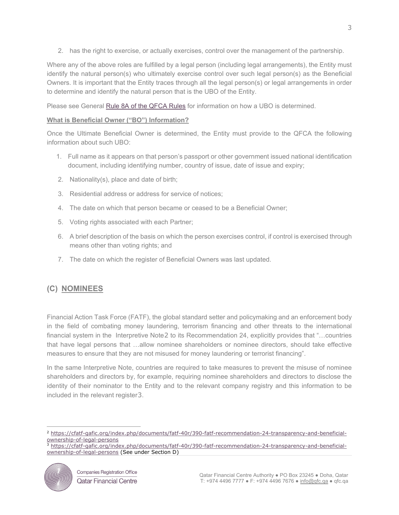2. has the right to exercise, or actually exercises, control over the management of the partnership.

Where any of the above roles are fulfilled by a legal person (including legal arrangements), the Entity must identify the natural person(s) who ultimately exercise control over such legal person(s) as the Beneficial Owners. It is important that the Entity traces through all the legal person(s) or legal arrangements in order to determine and identify the natural person that is the UBO of the Entity.

Please see General [Rule 8A](https://qfcra-en.thomsonreuters.com/rulebook/qfca-rules-0) of the QFCA Rules for information on how a UBO is determined.

# **What is Beneficial Owner ("BO") Information?**

Once the Ultimate Beneficial Owner is determined, the Entity must provide to the QFCA the following information about such UBO:

- 1. Full name as it appears on that person's passport or other government issued national identification document, including identifying number, country of issue, date of issue and expiry;
- 2. Nationality(s), place and date of birth;
- 3. Residential address or address for service of notices;
- 4. The date on which that person became or ceased to be a Beneficial Owner;
- 5. Voting rights associated with each Partner;
- 6. A brief description of the basis on which the person exercises control, if control is exercised through means other than voting rights; and
- 7. The date on which the register of Beneficial Owners was last updated.

# **(C) NOMINEES**

Financial Action Task Force (FATF), the global standard setter and policymaking and an enforcement body in the field of combating money laundering, terrorism financing and other threats to the international financial system in the Interpretive Note[2](#page-2-0) to its Recommendation 24, explicitly provides that "...countries that have legal persons that …allow nominee shareholders or nominee directors, should take effective measures to ensure that they are not misused for money laundering or terrorist financing".

In the same Interpretive Note, countries are required to take measures to prevent the misuse of nominee shareholders and directors by, for example, requiring nominee shareholders and directors to disclose the identity of their nominator to the Entity and to the relevant company registry and this information to be included in the relevant register[3](#page-2-1).

<span id="page-2-1"></span><span id="page-2-0"></span>[ownership-of-legal-persons](https://cfatf-gafic.org/index.php/documents/fatf-40r/390-fatf-recommendation-24-transparency-and-beneficial-ownership-of-legal-persons) (See under Section D)



<sup>2</sup> [https://cfatf-gafic.org/index.php/documents/fatf-40r/390-fatf-recommendation-24-transparency-and-beneficial](https://cfatf-gafic.org/index.php/documents/fatf-40r/390-fatf-recommendation-24-transparency-and-beneficial-ownership-of-legal-persons)ownership-of-legal-persons<br><sup>3</sup> [https://cfatf-gafic.org/index.php/documents/fatf-40r/390-fatf-recommendation-24-transparency-and-beneficial-](https://cfatf-gafic.org/index.php/documents/fatf-40r/390-fatf-recommendation-24-transparency-and-beneficial-ownership-of-legal-persons)